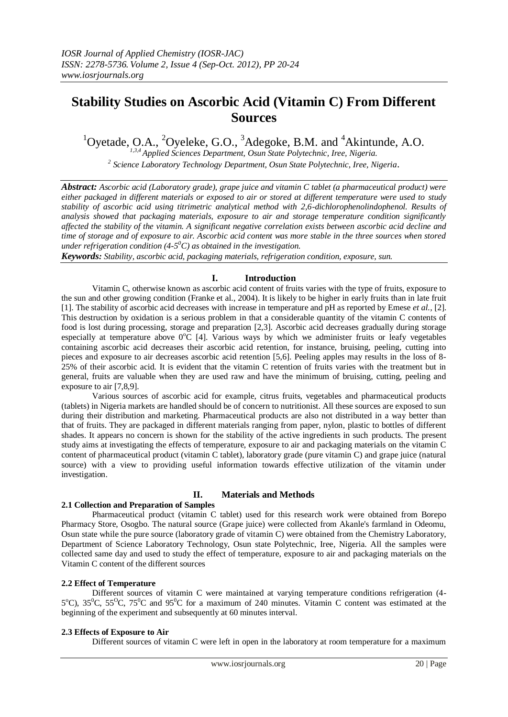# **Stability Studies on Ascorbic Acid (Vitamin C) From Different Sources**

 $1$ Oyetade, O.A.,  $2$ Oyeleke, G.O.,  $3$ Adegoke, B.M. and  $4$ Akintunde, A.O.

*1,3,4 Applied Sciences Department, Osun State Polytechnic, Iree, Nigeria. 2 Science Laboratory Technology Department, Osun State Polytechnic, Iree, Nigeria*.

*Abstract: Ascorbic acid (Laboratory grade), grape juice and vitamin C tablet (a pharmaceutical product) were either packaged in different materials or exposed to air or stored at different temperature were used to study stability of ascorbic acid using titrimetric analytical method with 2,6-dichlorophenolindophenol. Results of analysis showed that packaging materials, exposure to air and storage temperature condition significantly affected the stability of the vitamin. A significant negative correlation exists between ascorbic acid decline and time of storage and of exposure to air. Ascorbic acid content was more stable in the three sources when stored under refrigeration condition (4-5 <sup>0</sup>C) as obtained in the investigation.*

*Keywords: Stability, ascorbic acid, packaging materials, refrigeration condition, exposure, sun.*

## **I. Introduction**

Vitamin C, otherwise known as ascorbic acid content of fruits varies with the type of fruits, exposure to the sun and other growing condition (Franke et al., 2004). It is likely to be higher in early fruits than in late fruit [1]. The stability of ascorbic acid decreases with increase in temperature and pH as reported by Emese *et al.,* [2]. This destruction by oxidation is a serious problem in that a considerable quantity of the vitamin C contents of food is lost during processing, storage and preparation [2,3]. Ascorbic acid decreases gradually during storage especially at temperature above  $0^{\circ}C$  [4]. Various ways by which we administer fruits or leafy vegetables containing ascorbic acid decreases their ascorbic acid retention, for instance, bruising, peeling, cutting into pieces and exposure to air decreases ascorbic acid retention [5,6]. Peeling apples may results in the loss of 8- 25% of their ascorbic acid. It is evident that the vitamin C retention of fruits varies with the treatment but in general, fruits are valuable when they are used raw and have the minimum of bruising, cutting, peeling and exposure to air [7,8,9].

Various sources of ascorbic acid for example, citrus fruits, vegetables and pharmaceutical products (tablets) in Nigeria markets are handled should be of concern to nutritionist. All these sources are exposed to sun during their distribution and marketing. Pharmaceutical products are also not distributed in a way better than that of fruits. They are packaged in different materials ranging from paper, nylon, plastic to bottles of different shades. It appears no concern is shown for the stability of the active ingredients in such products. The present study aims at investigating the effects of temperature, exposure to air and packaging materials on the vitamin C content of pharmaceutical product (vitamin C tablet), laboratory grade (pure vitamin C) and grape juice (natural source) with a view to providing useful information towards effective utilization of the vitamin under investigation.

## **II. Materials and Methods**

## **2.1 Collection and Preparation of Samples**

Pharmaceutical product (vitamin C tablet) used for this research work were obtained from Borepo Pharmacy Store, Osogbo. The natural source (Grape juice) were collected from Akanle's farmland in Odeomu, Osun state while the pure source (laboratory grade of vitamin C) were obtained from the Chemistry Laboratory, Department of Science Laboratory Technology, Osun state Polytechnic, Iree, Nigeria. All the samples were collected same day and used to study the effect of temperature, exposure to air and packaging materials on the Vitamin C content of the different sources

## **2.2 Effect of Temperature**

Different sources of vitamin C were maintained at varying temperature conditions refrigeration (4-  $5^{\circ}$ C),  $35^{\circ}$ C,  $55^{\circ}$ C,  $75^{\circ}$ C and  $95^{\circ}$ C for a maximum of 240 minutes. Vitamin C content was estimated at the beginning of the experiment and subsequently at 60 minutes interval.

## **2.3 Effects of Exposure to Air**

Different sources of vitamin C were left in open in the laboratory at room temperature for a maximum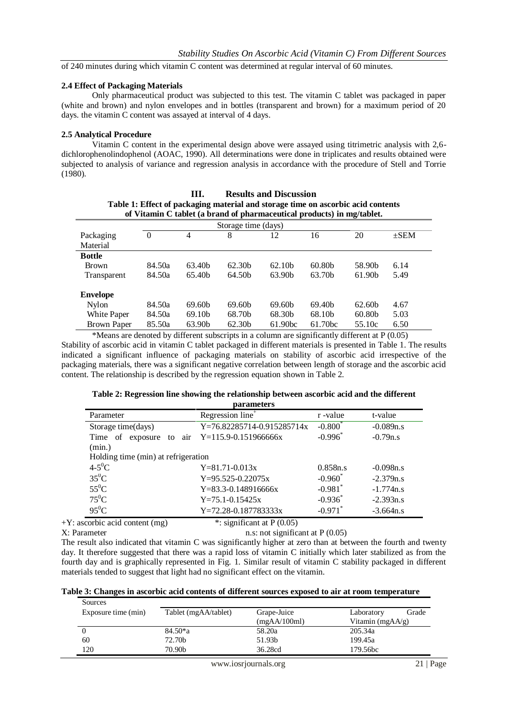of 240 minutes during which vitamin C content was determined at regular interval of 60 minutes.

#### **2.4 Effect of Packaging Materials**

Only pharmaceutical product was subjected to this test. The vitamin C tablet was packaged in paper (white and brown) and nylon envelopes and in bottles (transparent and brown) for a maximum period of 20 days. the vitamin C content was assayed at interval of 4 days.

### **2.5 Analytical Procedure**

Vitamin C content in the experimental design above were assayed using titrimetric analysis with 2,6 dichlorophenolindophenol (AOAC, 1990). All determinations were done in triplicates and results obtained were subjected to analysis of variance and regression analysis in accordance with the procedure of Stell and Torrie (1980).

**III. Results and Discussion**

| <br>кезине ани глевевниц                                                                                                                                   |          |                    |                     |                    |                    |                    |         |
|------------------------------------------------------------------------------------------------------------------------------------------------------------|----------|--------------------|---------------------|--------------------|--------------------|--------------------|---------|
| Table 1: Effect of packaging material and storage time on ascorbic acid contents<br>of Vitamin C tablet (a brand of pharmaceutical products) in mg/tablet. |          |                    |                     |                    |                    |                    |         |
|                                                                                                                                                            |          |                    | Storage time (days) |                    |                    |                    |         |
| Packaging                                                                                                                                                  | $\Omega$ | 4                  | 8                   | 12                 | 16                 | 20                 | $+$ SEM |
| Material                                                                                                                                                   |          |                    |                     |                    |                    |                    |         |
| <b>Bottle</b>                                                                                                                                              |          |                    |                     |                    |                    |                    |         |
| <b>Brown</b>                                                                                                                                               | 84.50a   | 63.40 <sub>b</sub> | 62.30 <sub>b</sub>  | 62.10 <sub>b</sub> | 60.80 <sub>b</sub> | 58.90b             | 6.14    |
| Transparent                                                                                                                                                | 84.50a   | 65.40b             | 64.50 <sub>b</sub>  | 63.90 <sub>b</sub> | 63.70 <sub>b</sub> | 61.90b             | 5.49    |
|                                                                                                                                                            |          |                    |                     |                    |                    |                    |         |
| <b>Envelope</b>                                                                                                                                            |          |                    |                     |                    |                    |                    |         |
| Nylon                                                                                                                                                      | 84.50a   | 69.60 <sub>b</sub> | 69.60 <sub>b</sub>  | 69.60 <sub>b</sub> | 69.40 <sub>b</sub> | 62.60 <sub>b</sub> | 4.67    |
| White Paper                                                                                                                                                | 84.50a   | 69.10b             | 68.70b              | 68.30b             | 68.10b             | 60.80b             | 5.03    |
| Brown Paper                                                                                                                                                | 85.50a   | 63.90b             | 62.30b              | 61.90bc            | 61.70bc            | 55.10c             | 6.50    |

\*Means are denoted by different subscripts in a column are significantly different at P (0.05) Stability of ascorbic acid in vitamin C tablet packaged in different materials is presented in Table 1. The results indicated a significant influence of packaging materials on stability of ascorbic acid irrespective of the packaging materials, there was a significant negative correlation between length of storage and the ascorbic acid content. The relationship is described by the regression equation shown in Table 2.

## **Table 2: Regression line showing the relationship between ascorbic acid and the different**

| parameters                                                                               |                              |                       |             |  |  |  |
|------------------------------------------------------------------------------------------|------------------------------|-----------------------|-------------|--|--|--|
| Parameter                                                                                | Regression line <sup>+</sup> | r -value              | t-value     |  |  |  |
| $-0.800*$<br>Y=76.82285714-0.915285714x<br>$-0.089n.s$<br>Storage time(days)             |                              |                       |             |  |  |  |
| $-0.996$ <sup>*</sup><br>exposure to air $Y=115.9-0.151966666x$<br>$-0.79n.s$<br>Time of |                              |                       |             |  |  |  |
| (min.)                                                                                   |                              |                       |             |  |  |  |
| Holding time (min) at refrigeration                                                      |                              |                       |             |  |  |  |
| $4-5^0C$                                                                                 | $Y = 81.71 - 0.013x$         | 0.858n.s              | $-0.098n.s$ |  |  |  |
| $35^0C$                                                                                  | $Y=95.525-0.22075x$          | $-0.960^*$            | $-2.379n.s$ |  |  |  |
| $55^0C$                                                                                  | $Y=83.3-0.148916666x$        | $-0.981$ <sup>*</sup> | $-1.774n.s$ |  |  |  |
| $75^0C$                                                                                  | $Y=75.1-0.15425x$            | $-0.936$ <sup>*</sup> | $-2.393n.s$ |  |  |  |
| $95^0C$                                                                                  | $Y=72.28-0.187783333x$       | $-0.971$ <sup>*</sup> | $-3.664n.s$ |  |  |  |

+Y: ascorbic acid content (mg) \*: significant at P (0.05)

 $X: Parameter$  n.s: not significant at  $P(0.05)$ 

The result also indicated that vitamin C was significantly higher at zero than at between the fourth and twenty day. It therefore suggested that there was a rapid loss of vitamin C initially which later stabilized as from the fourth day and is graphically represented in Fig. 1. Similar result of vitamin C stability packaged in different materials tended to suggest that light had no significant effect on the vitamin.

|  | Table 3: Changes in ascorbic acid contents of different sources exposed to air at room temperature |  |  |  |
|--|----------------------------------------------------------------------------------------------------|--|--|--|
|  |                                                                                                    |  |  |  |

| Sources             |                      |              |                      |       |
|---------------------|----------------------|--------------|----------------------|-------|
| Exposure time (min) | Tablet (mgAA/tablet) | Grape-Juice  | Laboratory           | Grade |
|                     |                      | (mgAA/100ml) | Vitamin (mg $AA/g$ ) |       |
|                     | 84.50 <sup>*</sup> a | 58.20a       | 205.34a              |       |
| 60                  | 72.70b               | 51.93b       | 199.45a              |       |
| 120                 | 70.90b               | 36.28cd      | 179.56bc             |       |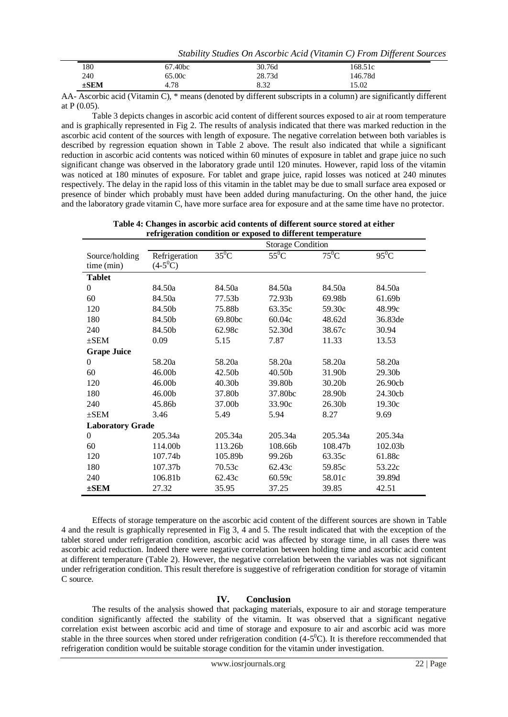|           |                     |        | Stability Studies On Ascorbic Acid (Vitamin C) From Different Sources |  |
|-----------|---------------------|--------|-----------------------------------------------------------------------|--|
| 180       | 67.40 <sub>bc</sub> | 30.76d | 168.51c                                                               |  |
| 240       | 65.00c              | 28.73d | 146.78d                                                               |  |
| $\pm$ SEM | 4.78                | 8.32   | 15.02                                                                 |  |

AA- Ascorbic acid (Vitamin C), \* means (denoted by different subscripts in a column) are significantly different at P (0.05).

Table 3 depicts changes in ascorbic acid content of different sources exposed to air at room temperature and is graphically represented in Fig 2. The results of analysis indicated that there was marked reduction in the ascorbic acid content of the sources with length of exposure. The negative correlation between both variables is described by regression equation shown in Table 2 above. The result also indicated that while a significant reduction in ascorbic acid contents was noticed within 60 minutes of exposure in tablet and grape juice no such significant change was observed in the laboratory grade until 120 minutes. However, rapid loss of the vitamin was noticed at 180 minutes of exposure. For tablet and grape juice, rapid losses was noticed at 240 minutes respectively. The delay in the rapid loss of this vitamin in the tablet may be due to small surface area exposed or presence of binder which probably must have been added during manufacturing. On the other hand, the juice and the laboratory grade vitamin C, have more surface area for exposure and at the same time have no protector.

|                         | refrigeration condition or exposed to different temperature |          |          |         |         |
|-------------------------|-------------------------------------------------------------|----------|----------|---------|---------|
|                         | <b>Storage Condition</b>                                    |          |          |         |         |
| Source/holding          | Refrigeration                                               | $35^0$ C | $55^0$ C | $75^0C$ | $95^0C$ |
| time (min)              | $(4-5^0C)$                                                  |          |          |         |         |
| <b>Tablet</b>           |                                                             |          |          |         |         |
| $\theta$                | 84.50a                                                      | 84.50a   | 84.50a   | 84.50a  | 84.50a  |
| 60                      | 84.50a                                                      | 77.53b   | 72.93b   | 69.98b  | 61.69b  |
| 120                     | 84.50b                                                      | 75.88b   | 63.35c   | 59.30c  | 48.99c  |
| 180                     | 84.50b                                                      | 69.80bc  | 60.04c   | 48.62d  | 36.83de |
| 240                     | 84.50b                                                      | 62.98c   | 52.30d   | 38.67c  | 30.94   |
| $\pm$ SEM               | 0.09                                                        | 5.15     | 7.87     | 11.33   | 13.53   |
| <b>Grape Juice</b>      |                                                             |          |          |         |         |
| $\theta$                | 58.20a                                                      | 58.20a   | 58.20a   | 58.20a  | 58.20a  |
| 60                      | 46.00b                                                      | 42.50b   | 40.50b   | 31.90b  | 29.30b  |
| 120                     | 46.00b                                                      | 40.30b   | 39.80b   | 30.20b  | 26.90cb |
| 180                     | 46.00b                                                      | 37.80b   | 37.80bc  | 28.90b  | 24.30cb |
| 240                     | 45.86b                                                      | 37.00b   | 33.90c   | 26.30b  | 19.30c  |
| $\pm$ SEM               | 3.46                                                        | 5.49     | 5.94     | 8.27    | 9.69    |
| <b>Laboratory Grade</b> |                                                             |          |          |         |         |
| $\overline{0}$          | 205.34a                                                     | 205.34a  | 205.34a  | 205.34a | 205.34a |
| 60                      | 114.00b                                                     | 113.26b  | 108.66b  | 108.47b | 102.03b |
| 120                     | 107.74b                                                     | 105.89b  | 99.26b   | 63.35c  | 61.88c  |
| 180                     | 107.37b                                                     | 70.53c   | 62.43c   | 59.85c  | 53.22c  |
| 240                     | 106.81b                                                     | 62.43c   | 60.59c   | 58.01c  | 39.89d  |
| $\pm$ SEM               | 27.32                                                       | 35.95    | 37.25    | 39.85   | 42.51   |

| Table 4: Changes in ascorbic acid contents of different source stored at either |
|---------------------------------------------------------------------------------|
| refrigeration condition or exposed to different temperature                     |

Effects of storage temperature on the ascorbic acid content of the different sources are shown in Table 4 and the result is graphically represented in Fig 3, 4 and 5. The result indicated that with the exception of the tablet stored under refrigeration condition, ascorbic acid was affected by storage time, in all cases there was ascorbic acid reduction. Indeed there were negative correlation between holding time and ascorbic acid content at different temperature (Table 2). However, the negative correlation between the variables was not significant under refrigeration condition. This result therefore is suggestive of refrigeration condition for storage of vitamin C source.

### **IV. Conclusion**

The results of the analysis showed that packaging materials, exposure to air and storage temperature condition significantly affected the stability of the vitamin. It was observed that a significant negative correlation exist between ascorbic acid and time of storage and exposure to air and ascorbic acid was more stable in the three sources when stored under refrigeration condition  $(4-5^{\circ}C)$ . It is therefore reccommended that refrigeration condition would be suitable storage condition for the vitamin under investigation.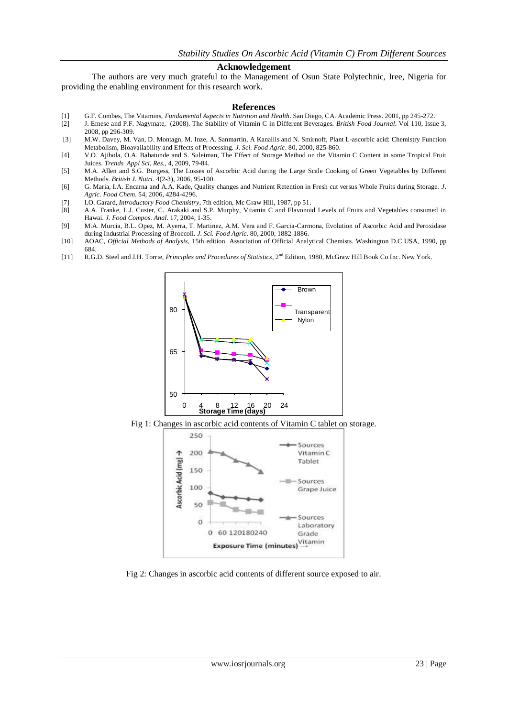### **Acknowledgement**

The authors are very much grateful to the Management of Osun State Polytechnic, Iree, Nigeria for providing the enabling environment for this research work.

#### **References**

- [1] G.F. Combes, The Vitamins, *Fundamental Aspects in Nutrition and Health*. San Diego, CA. Academic Press. 2001, pp 245-272.
- [2] J. Emese and P.F. Nagymate, (2008). The Stability of Vitamin C in Different Beverages. *British Food Journal*. Vol 110, Issue 3, 2008, pp 296-309.
- [3] M.W. Davey, M. Van, D. Montagn, M. Inze, A. Sanmartin, A Kanallis and N. Smirnoff, Plant L-ascorbic acid: Chemistry Function Metabolism, Bioavailability and Effects of Processing. *J. Sci. Food Agric*. 80, 2000, 825-860.
- [4] V.O. Ajibola, O.A. Babatunde and S. Suleiman, The Effect of Storage Method on the Vitamin C Content in some Tropical Fruit Juices. *Trends Appl Sci. Res.*, 4, 2009, 79-84.
- [5] M.A. Allen and S.G. Burgess, The Losses of Ascorbic Acid during the Large Scale Cooking of Green Vegetables by Different Methods. *British J. Nutri*. 4(2-3), 2006, 95-100.
- [6] G. Maria, I.A. Encarna and A.A. Kade, Quality changes and Nutrient Retention in Fresh cut versus Whole Fruits during Storage. *J. Agric. Food Chem*. 54, 2006, 4284-4296.
- [7] I.O. Garard, *Introductory Food Chemistry*, 7th edition, Mc Graw Hill, 1987, pp 51.
- [8] A.A. Franke, L.J. Custer, C. Arakaki and S.P. Murphy, Vitamin C and Flavonoid Levels of Fruits and Vegetables consumed in Hawai. *J. Food Compos. Anal*. 17, 2004, 1-35.
- [9] M.A. Murcia, B.L. Opez, M. Ayerra, T. Martinez, A.M. Vera and F. Garcia-Carmona, Evolution of Ascorbic Acid and Peroxidase during Industrial Processing of Broccoli. *J. Sci. Food Agric.* 80, 2000, 1882-1886.
- [10] AOAC, *Official Methods of Analysis*, 15th edition. Association of Official Analytical Chemists. Washington D.C.USA, 1990, pp 684.
- [11] R.G.D. Steel and J.H. Torrie, *Principles and Procedures of Statistics*, 2nd Edition, 1980, McGraw Hill Book Co Inc. New York.



Fig 1: Changes in ascorbic acid contents of Vitamin C tablet on storage.



Fig 2: Changes in ascorbic acid contents of different source exposed to air.